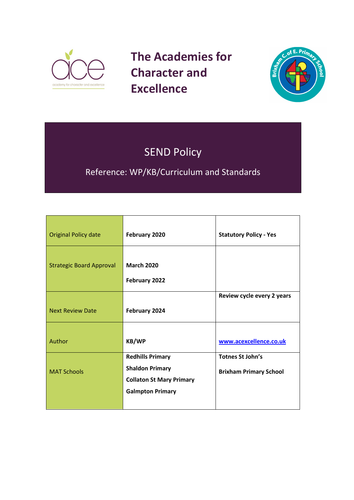

**The Academies for Character and Excellence** 



# SEND Policy

Reference: WP/KB/Curriculum and Standards

| <b>Original Policy date</b>     | February 2020                                                                                                   | <b>Statutory Policy - Yes</b>                            |
|---------------------------------|-----------------------------------------------------------------------------------------------------------------|----------------------------------------------------------|
| <b>Strategic Board Approval</b> | <b>March 2020</b><br>February 2022                                                                              |                                                          |
| <b>Next Review Date</b>         | February 2024                                                                                                   | Review cycle every 2 years                               |
| Author                          | <b>KB/WP</b>                                                                                                    | www.acexcellence.co.uk                                   |
| <b>MAT Schools</b>              | <b>Redhills Primary</b><br><b>Shaldon Primary</b><br><b>Collaton St Mary Primary</b><br><b>Galmpton Primary</b> | <b>Totnes St John's</b><br><b>Brixham Primary School</b> |
|                                 |                                                                                                                 |                                                          |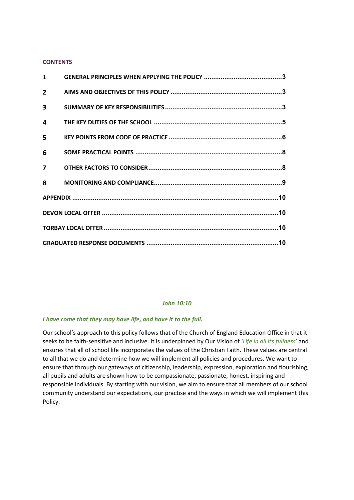### **CONTENTS**

| $\mathbf{1}$   |  |
|----------------|--|
| $\overline{2}$ |  |
| 3              |  |
| 4              |  |
| 5              |  |
| 6              |  |
| $\overline{7}$ |  |
| 8              |  |
|                |  |
|                |  |
|                |  |
|                |  |

### *John 10:10*

# *I have come that they may have life, and have it to the full.*

Our school's approach to this policy follows that of the Church of England Education Office in that it seeks to be faith-sensitive and inclusive. It is underpinned by Our Vision of *'Life in all its fullness*' and ensures that all of school life incorporates the values of the Christian Faith. These values are central to all that we do and determine how we will implement all policies and procedures. We want to ensure that through our gateways of citizenship, leadership, expression, exploration and flourishing, all pupils and adults are shown how to be compassionate, passionate, honest, inspiring and responsible individuals. By starting with our vision, we aim to ensure that all members of our school community understand our expectations, our practise and the ways in which we will implement this Policy.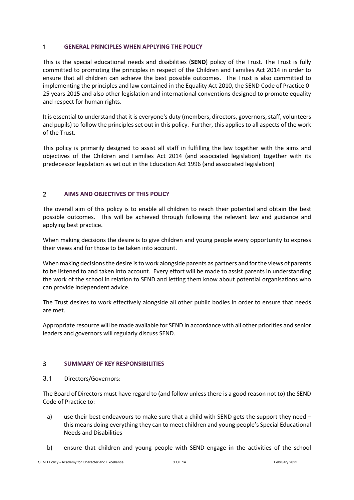#### <span id="page-2-0"></span> $\mathbf{1}$ **GENERAL PRINCIPLES WHEN APPLYING THE POLICY**

This is the special educational needs and disabilities (**SEND**) policy of the Trust. The Trust is fully committed to promoting the principles in respect of the Children and Families Act 2014 in order to ensure that all children can achieve the best possible outcomes. The Trust is also committed to implementing the principles and law contained in the Equality Act 2010, the SEND Code of Practice 0- 25 years 2015 and also other legislation and international conventions designed to promote equality and respect for human rights.

It is essential to understand that it is everyone's duty (members, directors, governors, staff, volunteers and pupils) to follow the principles set out in this policy. Further, this applies to all aspects of the work of the Trust.

This policy is primarily designed to assist all staff in fulfilling the law together with the aims and objectives of the Children and Families Act 2014 (and associated legislation) together with its predecessor legislation as set out in the Education Act 1996 (and associated legislation)

### <span id="page-2-1"></span>**AIMS AND OBJECTIVES OF THIS POLICY**  $\overline{2}$

The overall aim of this policy is to enable all children to reach their potential and obtain the best possible outcomes. This will be achieved through following the relevant law and guidance and applying best practice.

When making decisions the desire is to give children and young people every opportunity to express their views and for those to be taken into account.

When making decisions the desire is to work alongside parents as partners and for the views of parents to be listened to and taken into account. Every effort will be made to assist parents in understanding the work of the school in relation to SEND and letting them know about potential organisations who can provide independent advice.

The Trust desires to work effectively alongside all other public bodies in order to ensure that needs are met.

Appropriate resource will be made available for SEND in accordance with all other priorities and senior leaders and governors will regularly discuss SEND.

#### <span id="page-2-2"></span> $\overline{3}$ **SUMMARY OF KEY RESPONSIBILITIES**

3.1 Directors/Governors:

The Board of Directors must have regard to (and follow unless there is a good reason not to) the SEND Code of Practice to:

- a) use their best endeavours to make sure that a child with SEND gets the support they need this means doing everything they can to meet children and young people's Special Educational Needs and Disabilities
- b) ensure that children and young people with SEND engage in the activities of the school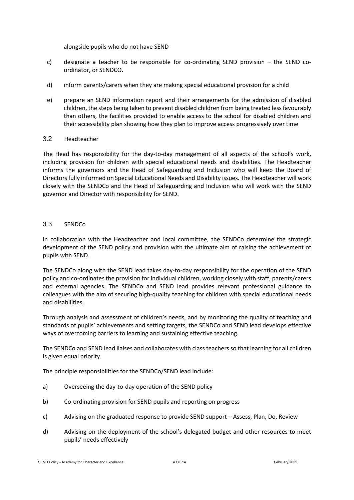alongside pupils who do not have SEND

- c) designate a teacher to be responsible for co-ordinating SEND provision  $-$  the SEND coordinator, or SENDCO.
- d) inform parents/carers when they are making special educational provision for a child
- e) prepare an SEND information report and their arrangements for the admission of disabled children, the steps being taken to prevent disabled children from being treated less favourably than others, the facilities provided to enable access to the school for disabled children and their accessibility plan showing how they plan to improve access progressively over time

# 3.2 Headteacher

The Head has responsibility for the day-to-day management of all aspects of the school's work, including provision for children with special educational needs and disabilities. The Headteacher informs the governors and the Head of Safeguarding and Inclusion who will keep the Board of Directors fully informed on Special Educational Needs and Disability issues. The Headteacher will work closely with the SENDCo and the Head of Safeguarding and Inclusion who will work with the SEND governor and Director with responsibility for SEND.

# 3.3 SENDCo

In collaboration with the Headteacher and local committee, the SENDCo determine the strategic development of the SEND policy and provision with the ultimate aim of raising the achievement of pupils with SEND.

The SENDCo along with the SEND lead takes day-to-day responsibility for the operation of the SEND policy and co-ordinates the provision for individual children, working closely with staff, parents/carers and external agencies. The SENDCo and SEND lead provides relevant professional guidance to colleagues with the aim of securing high-quality teaching for children with special educational needs and disabilities.

Through analysis and assessment of children's needs, and by monitoring the quality of teaching and standards of pupils' achievements and setting targets, the SENDCo and SEND lead develops effective ways of overcoming barriers to learning and sustaining effective teaching.

The SENDCo and SEND lead liaises and collaborates with class teachers so that learning for all children is given equal priority.

The principle responsibilities for the SENDCo/SEND lead include:

- a) Overseeing the day-to-day operation of the SEND policy
- b) Co-ordinating provision for SEND pupils and reporting on progress
- c) Advising on the graduated response to provide SEND support Assess, Plan, Do, Review
- d) Advising on the deployment of the school's delegated budget and other resources to meet pupils' needs effectively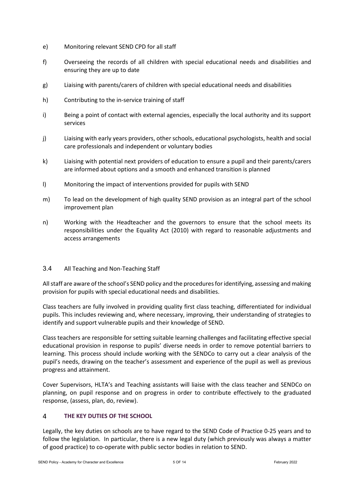- e) Monitoring relevant SEND CPD for all staff
- f) Overseeing the records of all children with special educational needs and disabilities and ensuring they are up to date
- g) Liaising with parents/carers of children with special educational needs and disabilities
- h) Contributing to the in-service training of staff
- i) Being a point of contact with external agencies, especially the local authority and its support services
- j) Liaising with early years providers, other schools, educational psychologists, health and social care professionals and independent or voluntary bodies
- k) Liaising with potential next providers of education to ensure a pupil and their parents/carers are informed about options and a smooth and enhanced transition is planned
- l) Monitoring the impact of interventions provided for pupils with SEND
- m) To lead on the development of high quality SEND provision as an integral part of the school improvement plan
- n) Working with the Headteacher and the governors to ensure that the school meets its responsibilities under the Equality Act (2010) with regard to reasonable adjustments and access arrangements

# 3.4 All Teaching and Non-Teaching Staff

All staff are aware of the school's SEND policy and the procedures for identifying, assessing and making provision for pupils with special educational needs and disabilities.

Class teachers are fully involved in providing quality first class teaching, differentiated for individual pupils. This includes reviewing and, where necessary, improving, their understanding of strategies to identify and support vulnerable pupils and their knowledge of SEND.

Class teachers are responsible for setting suitable learning challenges and facilitating effective special educational provision in response to pupils' diverse needs in order to remove potential barriers to learning. This process should include working with the SENDCo to carry out a clear analysis of the pupil's needs, drawing on the teacher's assessment and experience of the pupil as well as previous progress and attainment.

Cover Supervisors, HLTA's and Teaching assistants will liaise with the class teacher and SENDCo on planning, on pupil response and on progress in order to contribute effectively to the graduated response, (assess, plan, do, review).

#### <span id="page-4-0"></span> $\overline{4}$ **THE KEY DUTIES OF THE SCHOOL**

Legally, the key duties on schools are to have regard to the SEND Code of Practice 0-25 years and to follow the legislation. In particular, there is a new legal duty (which previously was always a matter of good practice) to co-operate with public sector bodies in relation to SEND.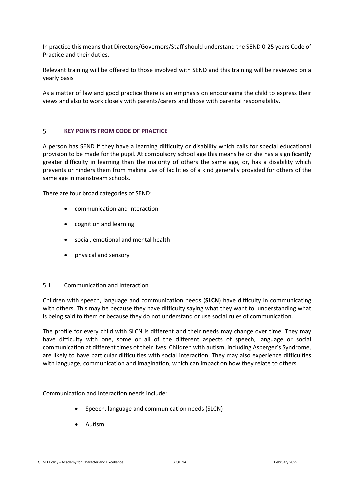In practice this means that Directors/Governors/Staff should understand the SEND 0-25 years Code of Practice and their duties.

Relevant training will be offered to those involved with SEND and this training will be reviewed on a yearly basis

As a matter of law and good practice there is an emphasis on encouraging the child to express their views and also to work closely with parents/carers and those with parental responsibility.

#### <span id="page-5-0"></span>5 **KEY POINTS FROM CODE OF PRACTICE**

A person has SEND if they have a learning difficulty or disability which calls for special educational provision to be made for the pupil. At compulsory school age this means he or she has a significantly greater difficulty in learning than the majority of others the same age, or, has a disability which prevents or hinders them from making use of facilities of a kind generally provided for others of the same age in mainstream schools.

There are four broad categories of SEND:

- communication and interaction
- cognition and learning
- social, emotional and mental health
- physical and sensory

# 5.1 Communication and Interaction

Children with speech, language and communication needs (**SLCN**) have difficulty in communicating with others. This may be because they have difficulty saying what they want to, understanding what is being said to them or because they do not understand or use social rules of communication.

The profile for every child with SLCN is different and their needs may change over time. They may have difficulty with one, some or all of the different aspects of speech, language or social communication at different times of their lives. Children with autism, including Asperger's Syndrome, are likely to have particular difficulties with social interaction. They may also experience difficulties with language, communication and imagination, which can impact on how they relate to others.

Communication and Interaction needs include:

- Speech, language and communication needs (SLCN)
- Autism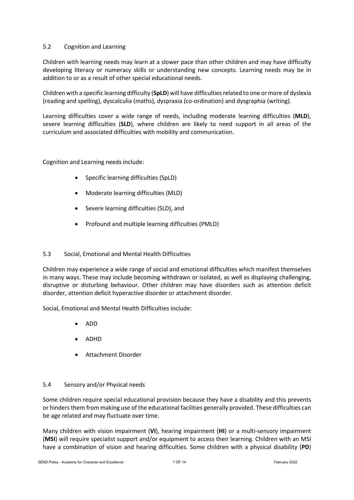# 5.2 Cognition and Learning

Children with learning needs may learn at a slower pace than other children and may have difficulty developing literacy or numeracy skills or understanding new concepts. Learning needs may be in addition to or as a result of other special educational needs.

Children with a specific learning difficulty (**SpLD**) will have difficulties related to one or more of dyslexia (reading and spelling), dyscalculia (maths), dyspraxia (co-ordination) and dysgraphia (writing).

Learning difficulties cover a wide range of needs, including moderate learning difficulties (**MLD**), severe learning difficulties (**SLD**), where children are likely to need support in all areas of the curriculum and associated difficulties with mobility and communication.

Cognition and Learning needs include:

- Specific learning difficulties (SpLD)
- Moderate learning difficulties (MLD)
- Severe learning difficulties (SLD), and
- Profound and multiple learning difficulties (PMLD)

# 5.3 Social, Emotional and Mental Health Difficulties

Children may experience a wide range of social and emotional difficulties which manifest themselves in many ways. These may include becoming withdrawn or isolated, as well as displaying challenging, disruptive or disturbing behaviour. Other children may have disorders such as attention deficit disorder, attention deficit hyperactive disorder or attachment disorder.

Social, Emotional and Mental Health Difficulties include:

- ADD
- ADHD
- Attachment Disorder

# 5.4 Sensory and/or Physical needs

Some children require special educational provision because they have a disability and this prevents or hinders them from making use of the educational facilities generally provided. These difficulties can be age related and may fluctuate over time.

Many children with vision impairment (**VI**), hearing impairment (**HI**) or a multi-sensory impairment (**MSI**) will require specialist support and/or equipment to access their learning. Children with an MSI have a combination of vision and hearing difficulties. Some children with a physical disability (**PD**)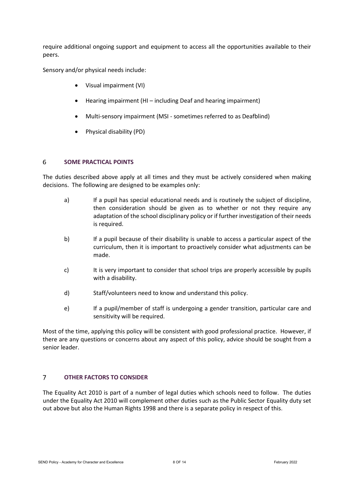require additional ongoing support and equipment to access all the opportunities available to their peers.

Sensory and/or physical needs include:

- Visual impairment (VI)
- Hearing impairment (HI including Deaf and hearing impairment)
- Multi-sensory impairment (MSI sometimes referred to as Deafblind)
- Physical disability (PD)

#### <span id="page-7-0"></span>6 **SOME PRACTICAL POINTS**

The duties described above apply at all times and they must be actively considered when making decisions. The following are designed to be examples only:

- a) If a pupil has special educational needs and is routinely the subject of discipline, then consideration should be given as to whether or not they require any adaptation of the school disciplinary policy or if further investigation of their needs is required.
- b) If a pupil because of their disability is unable to access a particular aspect of the curriculum, then it is important to proactively consider what adjustments can be made.
- c) It is very important to consider that school trips are properly accessible by pupils with a disability.
- d) Staff/volunteers need to know and understand this policy.
- e) If a pupil/member of staff is undergoing a gender transition, particular care and sensitivity will be required.

Most of the time, applying this policy will be consistent with good professional practice. However, if there are any questions or concerns about any aspect of this policy, advice should be sought from a senior leader.

#### <span id="page-7-1"></span> $\overline{7}$ **OTHER FACTORS TO CONSIDER**

The Equality Act 2010 is part of a number of legal duties which schools need to follow. The duties under the Equality Act 2010 will complement other duties such as the Public Sector Equality duty set out above but also the Human Rights 1998 and there is a separate policy in respect of this.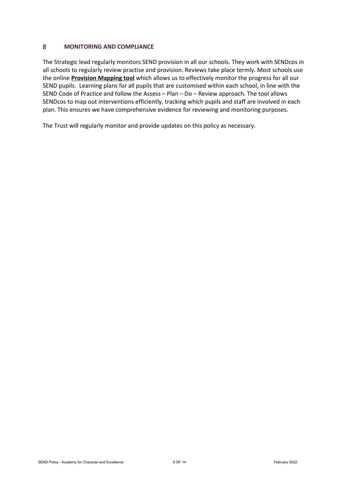#### <span id="page-8-0"></span>8 **MONITORING AND COMPLIANCE**

The Strategic lead regularly monitors SEND provision in all our schools. They work with SENDcos in all schools to regularly review practise and provision. Reviews take place termly. Most schools use the online **Provision Mapping tool** which allows us to effectively monitor the progress for all our SEND pupils. Learning plans for all pupils that are customised within each school, in line with the SEND Code of Practice and follow the Assess – Plan – Do – Review approach. The tool allows SENDcos to map out interventions efficiently, tracking which pupils and staff are involved in each plan. This ensures we have comprehensive evidence for reviewing and monitoring purposes.

The Trust will regularly monitor and provide updates on this policy as necessary.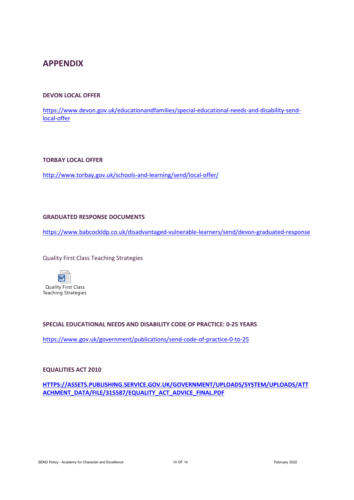# <span id="page-9-0"></span>**APPENDIX**

# <span id="page-9-1"></span>**DEVON LOCAL OFFER**

[https://www.devon.gov.uk/educationandfamilies/special-educational-needs-and-disability-send](https://www.devon.gov.uk/educationandfamilies/special-educational-needs-and-disability-send-local-offer)[local-offer](https://www.devon.gov.uk/educationandfamilies/special-educational-needs-and-disability-send-local-offer)

### <span id="page-9-2"></span>**TORBAY LOCAL OFFER**

<http://www.torbay.gov.uk/schools-and-learning/send/local-offer/>

### <span id="page-9-3"></span>**GRADUATED RESPONSE DOCUMENTS**

<https://www.babcockldp.co.uk/disadvantaged-vulnerable-learners/send/devon-graduated-response>

### Quality First Class Teaching Strategies



# **SPECIAL EDUCATIONAL NEEDS AND DISABILITY CODE OF PRACTICE: 0-25 YEARS**

<https://www.gov.uk/government/publications/send-code-of-practice-0-to-25>

### **EQUALITIES ACT 2010**

**[HTTPS://ASSETS.PUBLISHING.SERVICE.GOV.UK/GOVERNMENT/UPLOADS/SYSTEM/UPLOADS/ATT](https://assets.publishing.service.gov.uk/government/uploads/system/uploads/attachment_data/file/315587/Equality_Act_Advice_Final.pdf) [ACHMENT\\_DATA/FILE/315587/EQUALITY\\_ACT\\_ADVICE\\_FINAL.PDF](https://assets.publishing.service.gov.uk/government/uploads/system/uploads/attachment_data/file/315587/Equality_Act_Advice_Final.pdf)**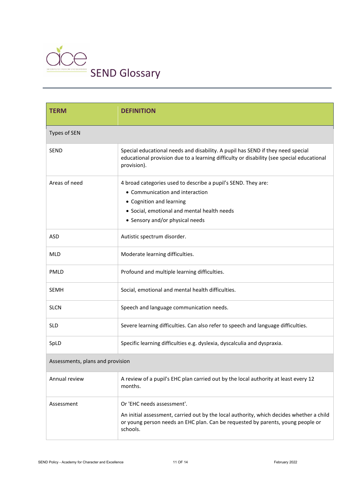

| <b>TERM</b>                      | <b>DEFINITION</b>                                                                                                                                                                           |  |
|----------------------------------|---------------------------------------------------------------------------------------------------------------------------------------------------------------------------------------------|--|
| Types of SEN                     |                                                                                                                                                                                             |  |
| <b>SEND</b>                      | Special educational needs and disability. A pupil has SEND if they need special<br>educational provision due to a learning difficulty or disability (see special educational<br>provision). |  |
| Areas of need                    | 4 broad categories used to describe a pupil's SEND. They are:                                                                                                                               |  |
|                                  | • Communication and interaction                                                                                                                                                             |  |
|                                  | • Cognition and learning                                                                                                                                                                    |  |
|                                  | • Social, emotional and mental health needs<br>• Sensory and/or physical needs                                                                                                              |  |
|                                  |                                                                                                                                                                                             |  |
| <b>ASD</b>                       | Autistic spectrum disorder.                                                                                                                                                                 |  |
| <b>MLD</b>                       | Moderate learning difficulties.                                                                                                                                                             |  |
| <b>PMLD</b>                      | Profound and multiple learning difficulties.                                                                                                                                                |  |
| <b>SEMH</b>                      | Social, emotional and mental health difficulties.                                                                                                                                           |  |
| <b>SLCN</b>                      | Speech and language communication needs.                                                                                                                                                    |  |
| <b>SLD</b>                       | Severe learning difficulties. Can also refer to speech and language difficulties.                                                                                                           |  |
| SpLD                             | Specific learning difficulties e.g. dyslexia, dyscalculia and dyspraxia.                                                                                                                    |  |
| Assessments, plans and provision |                                                                                                                                                                                             |  |
| Annual review                    | A review of a pupil's EHC plan carried out by the local authority at least every 12<br>months.                                                                                              |  |
| Assessment                       | Or 'EHC needs assessment'.                                                                                                                                                                  |  |
|                                  | An initial assessment, carried out by the local authority, which decides whether a child<br>or young person needs an EHC plan. Can be requested by parents, young people or<br>schools.     |  |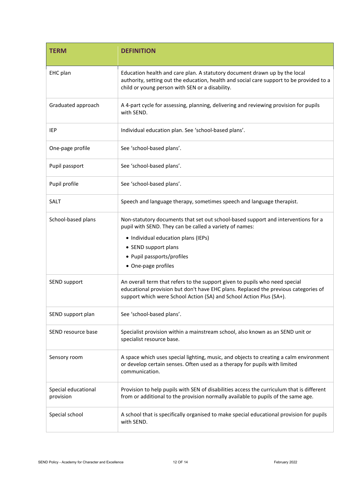| <b>TERM</b>                      | <b>DEFINITION</b>                                                                                                                                                                                                                         |
|----------------------------------|-------------------------------------------------------------------------------------------------------------------------------------------------------------------------------------------------------------------------------------------|
| EHC plan                         | Education health and care plan. A statutory document drawn up by the local<br>authority, setting out the education, health and social care support to be provided to a<br>child or young person with SEN or a disability.                 |
| Graduated approach               | A 4-part cycle for assessing, planning, delivering and reviewing provision for pupils<br>with SEND.                                                                                                                                       |
| IEP                              | Individual education plan. See 'school-based plans'.                                                                                                                                                                                      |
| One-page profile                 | See 'school-based plans'.                                                                                                                                                                                                                 |
| Pupil passport                   | See 'school-based plans'.                                                                                                                                                                                                                 |
| Pupil profile                    | See 'school-based plans'.                                                                                                                                                                                                                 |
| SALT                             | Speech and language therapy, sometimes speech and language therapist.                                                                                                                                                                     |
| School-based plans               | Non-statutory documents that set out school-based support and interventions for a<br>pupil with SEND. They can be called a variety of names:                                                                                              |
|                                  | • Individual education plans (IEPs)                                                                                                                                                                                                       |
|                                  | • SEND support plans                                                                                                                                                                                                                      |
|                                  | • Pupil passports/profiles                                                                                                                                                                                                                |
|                                  | • One-page profiles                                                                                                                                                                                                                       |
| SEND support                     | An overall term that refers to the support given to pupils who need special<br>educational provision but don't have EHC plans. Replaced the previous categories of<br>support which were School Action (SA) and School Action Plus (SA+). |
| SEND support plan                | See 'school-based plans'.                                                                                                                                                                                                                 |
| SEND resource base               | Specialist provision within a mainstream school, also known as an SEND unit or<br>specialist resource base.                                                                                                                               |
| Sensory room                     | A space which uses special lighting, music, and objects to creating a calm environment<br>or develop certain senses. Often used as a therapy for pupils with limited<br>communication.                                                    |
| Special educational<br>provision | Provision to help pupils with SEN of disabilities access the curriculum that is different<br>from or additional to the provision normally available to pupils of the same age.                                                            |
| Special school                   | A school that is specifically organised to make special educational provision for pupils<br>with SEND.                                                                                                                                    |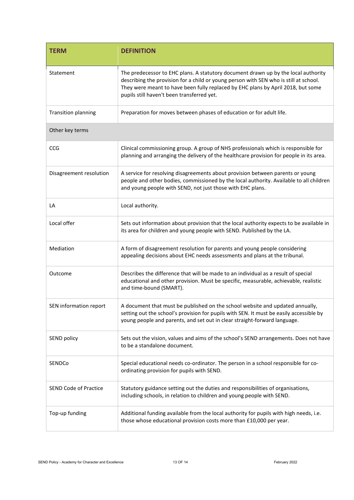| <b>TERM</b>                  | <b>DEFINITION</b>                                                                                                                                                                                                                                                                                             |
|------------------------------|---------------------------------------------------------------------------------------------------------------------------------------------------------------------------------------------------------------------------------------------------------------------------------------------------------------|
| Statement                    | The predecessor to EHC plans. A statutory document drawn up by the local authority<br>describing the provision for a child or young person with SEN who is still at school.<br>They were meant to have been fully replaced by EHC plans by April 2018, but some<br>pupils still haven't been transferred yet. |
| <b>Transition planning</b>   | Preparation for moves between phases of education or for adult life.                                                                                                                                                                                                                                          |
| Other key terms              |                                                                                                                                                                                                                                                                                                               |
| CCG                          | Clinical commissioning group. A group of NHS professionals which is responsible for<br>planning and arranging the delivery of the healthcare provision for people in its area.                                                                                                                                |
| Disagreement resolution      | A service for resolving disagreements about provision between parents or young<br>people and other bodies, commissioned by the local authority. Available to all children<br>and young people with SEND, not just those with EHC plans.                                                                       |
| LA                           | Local authority.                                                                                                                                                                                                                                                                                              |
| Local offer                  | Sets out information about provision that the local authority expects to be available in<br>its area for children and young people with SEND. Published by the LA.                                                                                                                                            |
| Mediation                    | A form of disagreement resolution for parents and young people considering<br>appealing decisions about EHC needs assessments and plans at the tribunal.                                                                                                                                                      |
| Outcome                      | Describes the difference that will be made to an individual as a result of special<br>educational and other provision. Must be specific, measurable, achievable, realistic<br>and time-bound (SMART).                                                                                                         |
| SEN information report       | A document that must be published on the school website and updated annually,<br>setting out the school's provision for pupils with SEN. It must be easily accessible by<br>young people and parents, and set out in clear straight-forward language.                                                         |
| SEND policy                  | Sets out the vision, values and aims of the school's SEND arrangements. Does not have<br>to be a standalone document.                                                                                                                                                                                         |
| SENDCo                       | Special educational needs co-ordinator. The person in a school responsible for co-<br>ordinating provision for pupils with SEND.                                                                                                                                                                              |
| <b>SEND Code of Practice</b> | Statutory guidance setting out the duties and responsibilities of organisations,<br>including schools, in relation to children and young people with SEND.                                                                                                                                                    |
| Top-up funding               | Additional funding available from the local authority for pupils with high needs, i.e.<br>those whose educational provision costs more than £10,000 per year.                                                                                                                                                 |